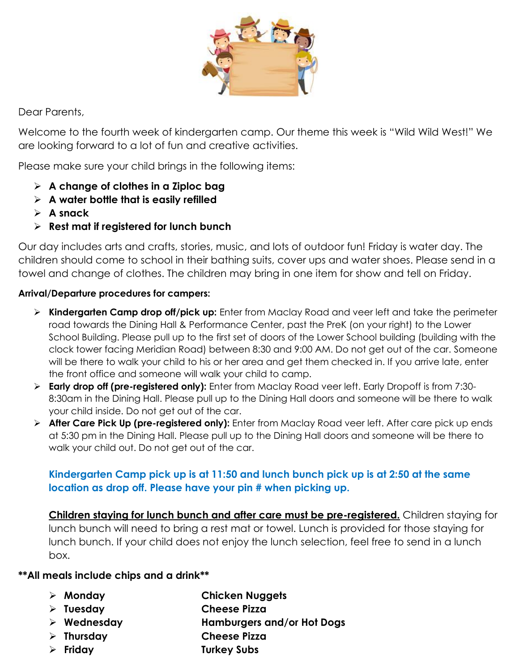

Dear Parents,

Welcome to the fourth week of kindergarten camp. Our theme this week is "Wild Wild West!" We are looking forward to a lot of fun and creative activities.

Please make sure your child brings in the following items:

- ➢ **A change of clothes in a Ziploc bag**
- ➢ **A water bottle that is easily refilled**
- ➢ **A snack**
- ➢ **Rest mat if registered for lunch bunch**

Our day includes arts and crafts, stories, music, and lots of outdoor fun! Friday is water day. The children should come to school in their bathing suits, cover ups and water shoes. Please send in a towel and change of clothes. The children may bring in one item for show and tell on Friday.

#### **Arrival/Departure procedures for campers:**

- ➢ **Kindergarten Camp drop off/pick up:** Enter from Maclay Road and veer left and take the perimeter road towards the Dining Hall & Performance Center, past the PreK (on your right) to the Lower School Building. Please pull up to the first set of doors of the Lower School building (building with the clock tower facing Meridian Road) between 8:30 and 9:00 AM. Do not get out of the car. Someone will be there to walk your child to his or her area and get them checked in. If you arrive late, enter the front office and someone will walk your child to camp.
- ➢ **Early drop off (pre-registered only):** Enter from Maclay Road veer left. Early Dropoff is from 7:30- 8:30am in the Dining Hall. Please pull up to the Dining Hall doors and someone will be there to walk your child inside. Do not get out of the car.
- ➢ **After Care Pick Up (pre-registered only):** Enter from Maclay Road veer left. After care pick up ends at 5:30 pm in the Dining Hall. Please pull up to the Dining Hall doors and someone will be there to walk your child out. Do not get out of the car.

### **Kindergarten Camp pick up is at 11:50 and lunch bunch pick up is at 2:50 at the same location as drop off. Please have your pin # when picking up.**

**Children staying for lunch bunch and after care must be pre-registered.** Children staying for lunch bunch will need to bring a rest mat or towel. Lunch is provided for those staying for lunch bunch. If your child does not enjoy the lunch selection, feel free to send in a lunch box.

#### **\*\*All meals include chips and a drink\*\***

- ➢ **Monday Chicken Nuggets**
- ➢ **Tuesday Cheese Pizza**
- ➢ **Wednesday Hamburgers and/or Hot Dogs**
- ➢ **Thursday Cheese Pizza**
- ➢ **Friday Turkey Subs**